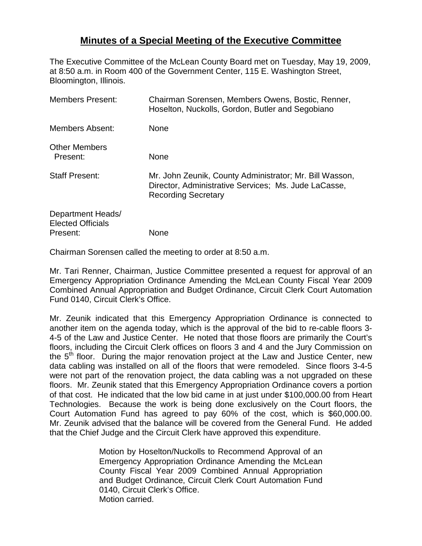## **Minutes of a Special Meeting of the Executive Committee**

The Executive Committee of the McLean County Board met on Tuesday, May 19, 2009, at 8:50 a.m. in Room 400 of the Government Center, 115 E. Washington Street, Bloomington, Illinois.

| <b>Members Present:</b>                                   | Chairman Sorensen, Members Owens, Bostic, Renner,<br>Hoselton, Nuckolls, Gordon, Butler and Segobiano                                         |
|-----------------------------------------------------------|-----------------------------------------------------------------------------------------------------------------------------------------------|
| Members Absent:                                           | None                                                                                                                                          |
| <b>Other Members</b><br>Present:                          | None                                                                                                                                          |
| <b>Staff Present:</b>                                     | Mr. John Zeunik, County Administrator; Mr. Bill Wasson,<br>Director, Administrative Services; Ms. Jude LaCasse,<br><b>Recording Secretary</b> |
| Department Heads/<br><b>Elected Officials</b><br>Present: | None                                                                                                                                          |

Chairman Sorensen called the meeting to order at 8:50 a.m.

Mr. Tari Renner, Chairman, Justice Committee presented a request for approval of an Emergency Appropriation Ordinance Amending the McLean County Fiscal Year 2009 Combined Annual Appropriation and Budget Ordinance, Circuit Clerk Court Automation Fund 0140, Circuit Clerk's Office.

Mr. Zeunik indicated that this Emergency Appropriation Ordinance is connected to another item on the agenda today, which is the approval of the bid to re-cable floors 3- 4-5 of the Law and Justice Center. He noted that those floors are primarily the Court's floors, including the Circuit Clerk offices on floors 3 and 4 and the Jury Commission on the  $5<sup>th</sup>$  floor. During the major renovation project at the Law and Justice Center, new data cabling was installed on all of the floors that were remodeled. Since floors 3-4-5 were not part of the renovation project, the data cabling was a not upgraded on these floors. Mr. Zeunik stated that this Emergency Appropriation Ordinance covers a portion of that cost. He indicated that the low bid came in at just under \$100,000.00 from Heart Technologies. Because the work is being done exclusively on the Court floors, the Court Automation Fund has agreed to pay 60% of the cost, which is \$60,000.00. Mr. Zeunik advised that the balance will be covered from the General Fund. He added that the Chief Judge and the Circuit Clerk have approved this expenditure.

> Motion by Hoselton/Nuckolls to Recommend Approval of an Emergency Appropriation Ordinance Amending the McLean County Fiscal Year 2009 Combined Annual Appropriation and Budget Ordinance, Circuit Clerk Court Automation Fund 0140, Circuit Clerk's Office. Motion carried.